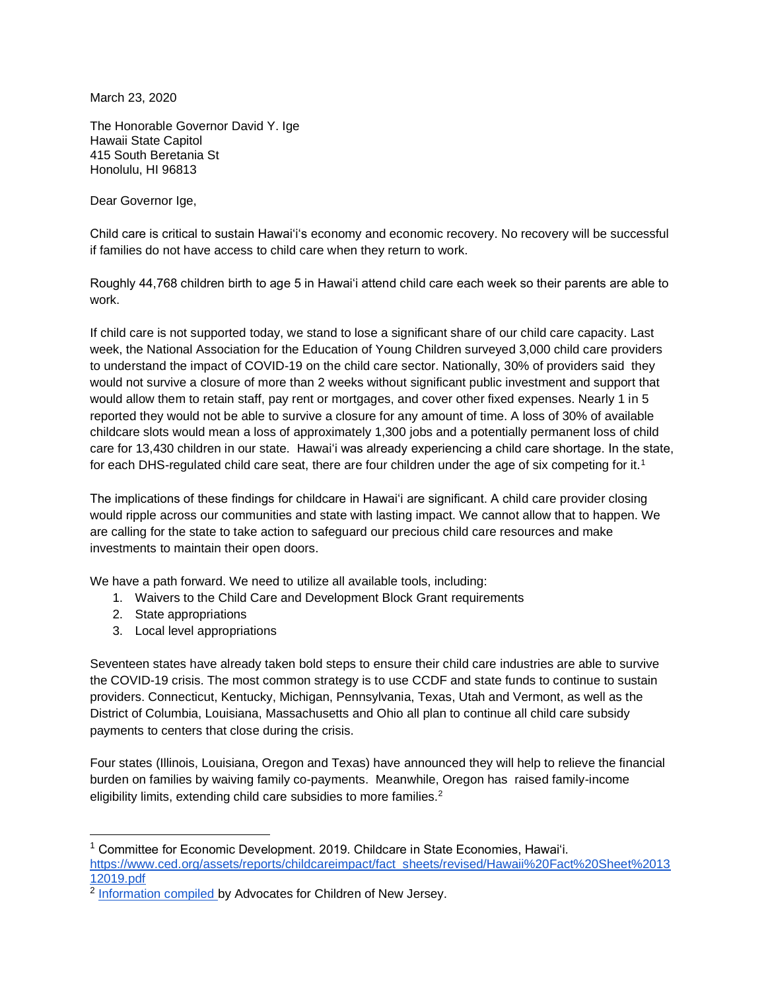March 23, 2020

The Honorable Governor David Y. Ige Hawaii State Capitol 415 South Beretania St Honolulu, HI 96813

Dear Governor Ige,

Child care is critical to sustain Hawaiʻiʻs economy and economic recovery. No recovery will be successful if families do not have access to child care when they return to work.

Roughly 44,768 children birth to age 5 in Hawai'i attend child care each week so their parents are able to work.

If child care is not supported today, we stand to lose a significant share of our child care capacity. Last week, the National Association for the Education of Young Children surveyed 3,000 child care providers to understand the impact of COVID-19 on the child care sector. Nationally, 30% of providers said they would not survive a closure of more than 2 weeks without significant public investment and support that would allow them to retain staff, pay rent or mortgages, and cover other fixed expenses. Nearly 1 in 5 reported they would not be able to survive a closure for any amount of time. A loss of 30% of available childcare slots would mean a loss of approximately 1,300 jobs and a potentially permanent loss of child care for 13,430 children in our state. Hawaiʻi was already experiencing a child care shortage. In the state, for each DHS-regulated child care seat, there are four children under the age of six competing for it.<sup>1</sup>

The implications of these findings for childcare in Hawaiʻi are significant. A child care provider closing would ripple across our communities and state with lasting impact. We cannot allow that to happen. We are calling for the state to take action to safeguard our precious child care resources and make investments to maintain their open doors.

We have a path forward. We need to utilize all available tools, including:

- 1. Waivers to the Child Care and Development Block Grant requirements
- 2. State appropriations
- 3. Local level appropriations

Seventeen states have already taken bold steps to ensure their child care industries are able to survive the COVID-19 crisis. The most common strategy is to use CCDF and state funds to continue to sustain providers. Connecticut, Kentucky, Michigan, Pennsylvania, Texas, Utah and Vermont, as well as the District of Columbia, Louisiana, Massachusetts and Ohio all plan to continue all child care subsidy payments to centers that close during the crisis.

Four states (Illinois, Louisiana, Oregon and Texas) have announced they will help to relieve the financial burden on families by waiving family co-payments. Meanwhile, Oregon has raised family-income eligibility limits, extending child care subsidies to more families.<sup>2</sup>

<sup>1</sup> Committee for Economic Development. 2019. Childcare in State Economies, Hawaiʻi. [https://www.ced.org/assets/reports/childcareimpact/fact\\_sheets/revised/Hawaii%20Fact%20Sheet%2013](https://www.ced.org/assets/reports/childcareimpact/fact_sheets/revised/Hawaii%20Fact%20Sheet%201312019.pdf) [12019.pdf](https://www.ced.org/assets/reports/childcareimpact/fact_sheets/revised/Hawaii%20Fact%20Sheet%201312019.pdf)

<sup>&</sup>lt;sup>2</sup> [Information compiled b](https://docs.google.com/spreadsheets/d/1LrRXHTEnH-CLnUgF0SUI0dEUJKmRuuCYQTzKTuMBZnw/edit#gid=0)y Advocates for Children of New Jersey.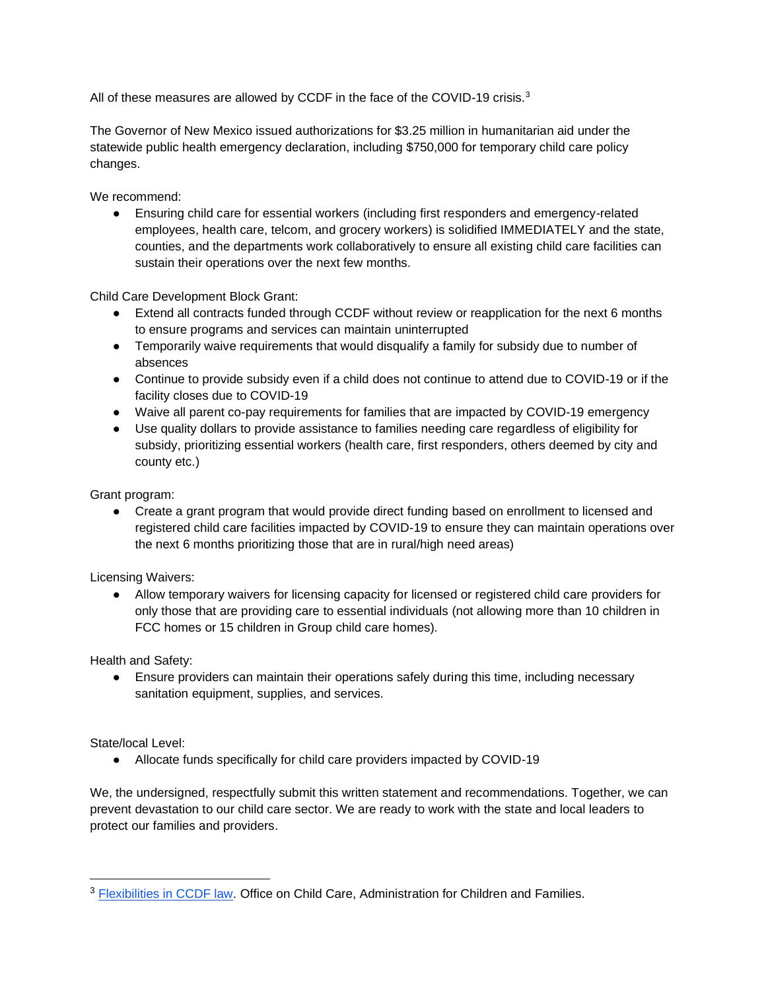All of these measures are allowed by CCDF in the face of the COVID-19 crisis.<sup>3</sup>

The Governor of New Mexico issued authorizations for \$3.25 million in humanitarian aid under the statewide public health emergency declaration, including \$750,000 for temporary child care policy changes.

We recommend:

● Ensuring child care for essential workers (including first responders and emergency-related employees, health care, telcom, and grocery workers) is solidified IMMEDIATELY and the state, counties, and the departments work collaboratively to ensure all existing child care facilities can sustain their operations over the next few months.

Child Care Development Block Grant:

- Extend all contracts funded through CCDF without review or reapplication for the next 6 months to ensure programs and services can maintain uninterrupted
- Temporarily waive requirements that would disqualify a family for subsidy due to number of absences
- Continue to provide subsidy even if a child does not continue to attend due to COVID-19 or if the facility closes due to COVID-19
- Waive all parent co-pay requirements for families that are impacted by COVID-19 emergency
- Use quality dollars to provide assistance to families needing care regardless of eligibility for subsidy, prioritizing essential workers (health care, first responders, others deemed by city and county etc.)

Grant program:

• Create a grant program that would provide direct funding based on enrollment to licensed and registered child care facilities impacted by COVID-19 to ensure they can maintain operations over the next 6 months prioritizing those that are in rural/high need areas)

Licensing Waivers:

● Allow temporary waivers for licensing capacity for licensed or registered child care providers for only those that are providing care to essential individuals (not allowing more than 10 children in FCC homes or 15 children in Group child care homes).

Health and Safety:

● Ensure providers can maintain their operations safely during this time, including necessary sanitation equipment, supplies, and services.

State/local Level:

● Allocate funds specifically for child care providers impacted by COVID-19

We, the undersigned, respectfully submit this written statement and recommendations. Together, we can prevent devastation to our child care sector. We are ready to work with the state and local leaders to protect our families and providers.

<sup>&</sup>lt;sup>3</sup> [Flexibilities in CCDF law.](https://www.acf.hhs.gov/occ/resource/info-about-covid-19-for-ccdf-lead-agencies-relevant-flexibilities-in-ccdf-law) Office on Child Care, Administration for Children and Families.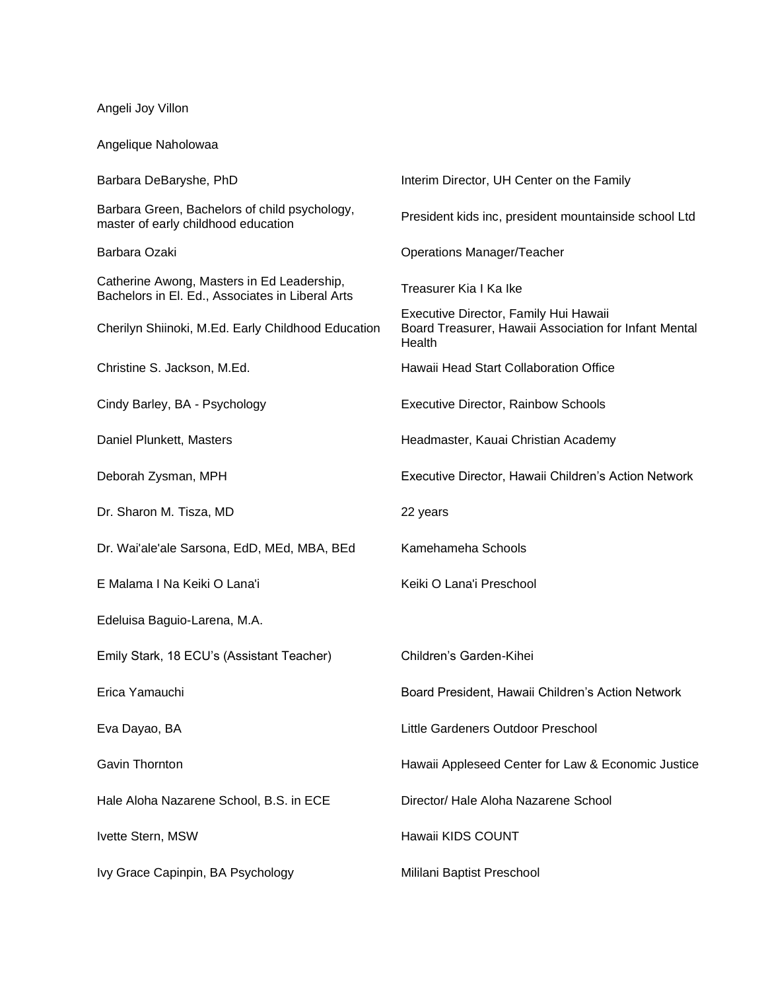Angeli Joy Villon

Angelique Naholowaa

| Barbara DeBaryshe, PhD                                                                         | Interim Director, UH Center on the Family                                                                |
|------------------------------------------------------------------------------------------------|----------------------------------------------------------------------------------------------------------|
| Barbara Green, Bachelors of child psychology,<br>master of early childhood education           | President kids inc, president mountainside school Ltd                                                    |
| Barbara Ozaki                                                                                  | <b>Operations Manager/Teacher</b>                                                                        |
| Catherine Awong, Masters in Ed Leadership,<br>Bachelors in El. Ed., Associates in Liberal Arts | Treasurer Kia I Ka Ike                                                                                   |
| Cherilyn Shiinoki, M.Ed. Early Childhood Education                                             | Executive Director, Family Hui Hawaii<br>Board Treasurer, Hawaii Association for Infant Mental<br>Health |
| Christine S. Jackson, M.Ed.                                                                    | Hawaii Head Start Collaboration Office                                                                   |
| Cindy Barley, BA - Psychology                                                                  | <b>Executive Director, Rainbow Schools</b>                                                               |
| Daniel Plunkett, Masters                                                                       | Headmaster, Kauai Christian Academy                                                                      |
| Deborah Zysman, MPH                                                                            | Executive Director, Hawaii Children's Action Network                                                     |
| Dr. Sharon M. Tisza, MD                                                                        | 22 years                                                                                                 |
| Dr. Wai'ale'ale Sarsona, EdD, MEd, MBA, BEd                                                    | Kamehameha Schools                                                                                       |
| E Malama I Na Keiki O Lana'i                                                                   | Keiki O Lana'i Preschool                                                                                 |
| Edeluisa Baguio-Larena, M.A.                                                                   |                                                                                                          |
| Emily Stark, 18 ECU's (Assistant Teacher)                                                      | Children's Garden-Kihei                                                                                  |
| Erica Yamauchi                                                                                 | Board President, Hawaii Children's Action Network                                                        |
| Eva Dayao, BA                                                                                  | Little Gardeners Outdoor Preschool                                                                       |
| Gavin Thornton                                                                                 | Hawaii Appleseed Center for Law & Economic Justice                                                       |
| Hale Aloha Nazarene School, B.S. in ECE                                                        | Director/ Hale Aloha Nazarene School                                                                     |
| Ivette Stern, MSW                                                                              | Hawaii KIDS COUNT                                                                                        |
| Ivy Grace Capinpin, BA Psychology                                                              | Mililani Baptist Preschool                                                                               |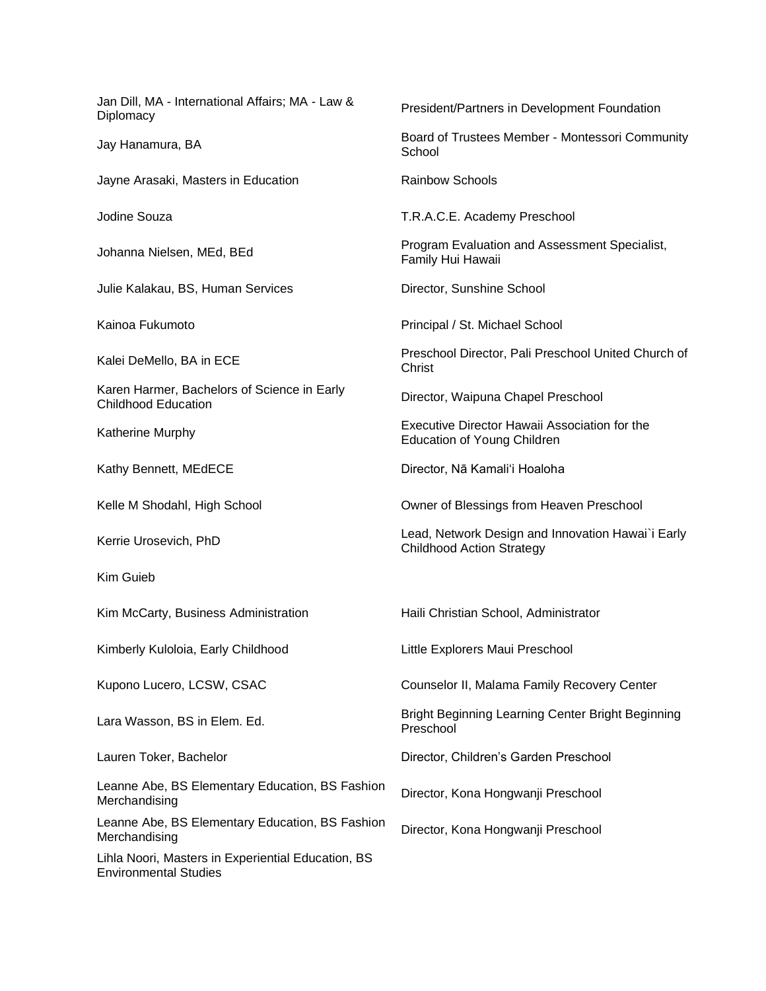Jan Dill, MA - International Affairs; MA - Law & Diplomacy<br>Diplomacy President/Partners in Development Foundation Jay Hanamura, BA Board of Trustees Member - Montessori Community **School** Jayne Arasaki, Masters in Education **Fig. 10. Example 20. Analyzie Rainbow Schools** Jodine Souza T.R.A.C.E. Academy Preschool Johanna Nielsen, MEd, BEd Program Evaluation and Assessment Specialist, Family Hui Hawaii Julie Kalakau, BS, Human Services Director, Sunshine School Kainoa Fukumoto **Principal / St. Michael School** Kalei DeMello, BA in ECE Preschool Director, Pali Preschool United Church of Christ Karen Harmer, Bachelors of Science in Early Raten Harmer, Bachelors of Science in Lany Director, Waipuna Chapel Preschool<br>Childhood Education Katherine Murphy<br>
Executive Director Hawaii Association for the<br>
Education of Your Children Education of Young Children Kathy Bennett, MEdECE **Director, Na Kamali**'i Hoaloha Kelle M Shodahl, High School Owner of Blessings from Heaven Preschool Kerrie Urosevich, PhD **Lead, Network Design and Innovation Hawai**'i Early Childhood Action Strategy Kim Guieb Kim McCarty, Business Administration Haili Christian School, Administrator Kimberly Kuloloia, Early Childhood Little Explorers Maui Preschool Kupono Lucero, LCSW, CSAC Counselor II, Malama Family Recovery Center Lara Wasson, BS in Elem. Ed. Bright Beginning Learning Center Bright Beginning Preschool Lauren Toker, Bachelor Director, Children's Garden Preschool Leanne Abe, BS Elementary Education, BS Fashion Learline Abe, BS Elementary Education, BS Fashfort Director, Kona Hongwanji Preschool<br>Merchandising Leanne Abe, BS Elementary Education, BS Fashion Learline Abe, BS Liementary Luddation, BS Fashfort Director, Kona Hongwanji Preschool<br>Merchandising Lihla Noori, Masters in Experiential Education, BS Environmental Studies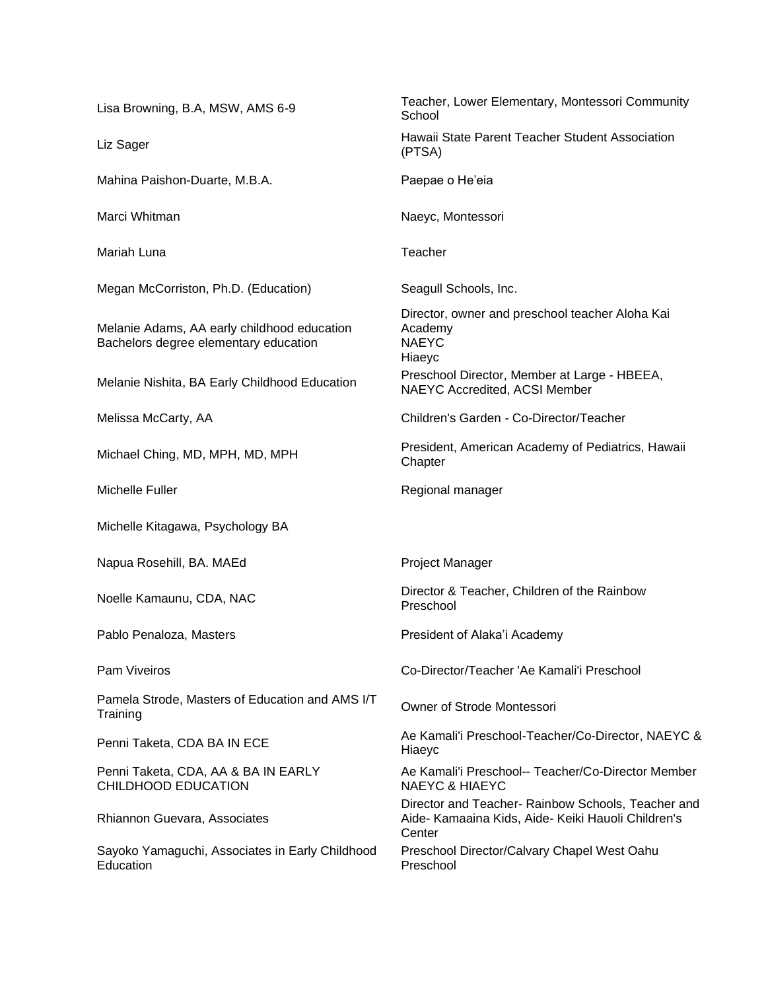Lisa Browning, B.A, MSW, AMS 6-9 Teacher, Lower Elementary, Montessori Community **School** Liz Sager **Hawaii State Parent Teacher Student Association**<br>
Fig. 1) (PTSA) Mahina Paishon-Duarte, M.B.A. Paepae o He'eia Marci Whitman Naeyc, Montessori Mariah Luna Teacher Megan McCorriston, Ph.D. (Education) Seagull Schools, Inc. Melanie Adams, AA early childhood education Bachelors degree elementary education Director, owner and preschool teacher Aloha Kai Academy NAEYC Hiaeyc Melanie Nishita, BA Early Childhood Education Preschool Director, Member at Large - HBEEA, NAEYC Accredited, ACSI Member Melissa McCarty, AA Children's Garden - Co-Director/Teacher Michael Ching, MD, MPH, MD, MPH President, American Academy of Pediatrics, Hawaii **Chapter** Michelle Fuller **Regional manager** Regional manager Michelle Kitagawa, Psychology BA Napua Rosehill, BA. MAEd Project Manager Noelle Kamaunu, CDA, NAC Director & Teacher, Children of the Rainbow Preschool Pablo Penaloza, Masters **President of Alaka'i Academy** Pam Viveiros Co-Director/Teacher 'Ae Kamali'i Preschool Pamela Strode, Masters of Education and AMS I/T Training Strode, Masters of Education and AMS I/T Owner of Strode Montessori Penni Taketa, CDA BA IN ECE Annuali Preschool-Teacher/Co-Director, NAEYC & Hiaeyc Penni Taketa, CDA, AA & BA IN EARLY CHILDHOOD EDUCATION Ae Kamali'i Preschool-- Teacher/Co-Director Member NAEYC & HIAEYC Rhiannon Guevara, Associates Director and Teacher- Rainbow Schools, Teacher and Aide- Kamaaina Kids, Aide- Keiki Hauoli Children's **Center** Sayoko Yamaguchi, Associates in Early Childhood **Education** Preschool Director/Calvary Chapel West Oahu Preschool